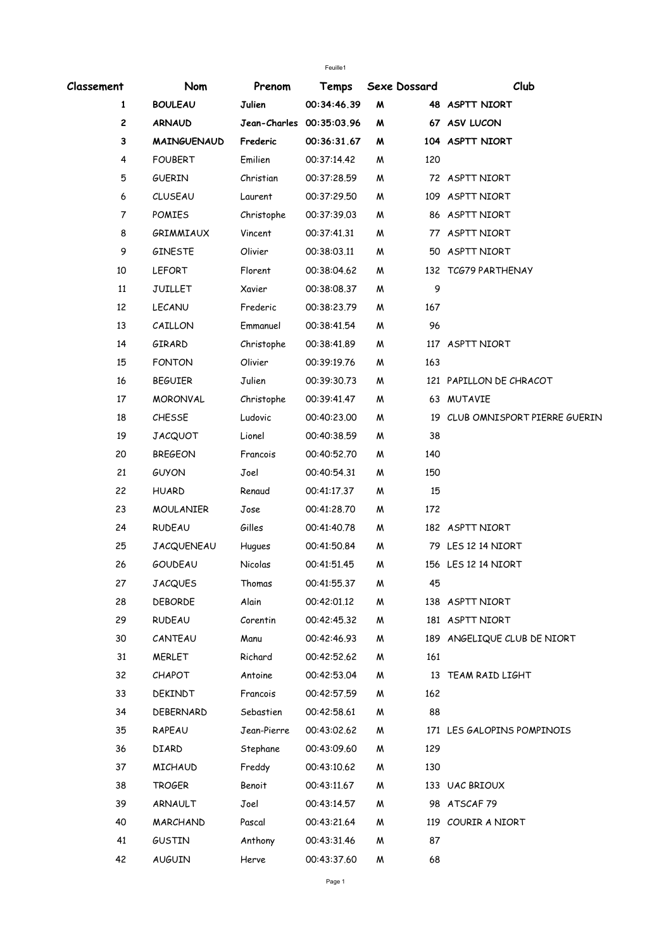| Classement   | Nom                | Prenom                   | Temps       |   | Sexe Dossard | Club                            |
|--------------|--------------------|--------------------------|-------------|---|--------------|---------------------------------|
| $\mathbf{1}$ | <b>BOULEAU</b>     | Julien                   | 00:34:46.39 | W |              | 48 ASPTT NIORT                  |
| 2            | <b>ARNAUD</b>      | Jean-Charles 00:35:03.96 |             | M |              | 67 ASV LUCON                    |
| $\mathbf 3$  | <b>MAINGUENAUD</b> | Frederic                 | 00:36:31.67 | M |              | 104 ASPTT NIORT                 |
| 4            | <b>FOUBERT</b>     | Emilien                  | 00:37:14.42 | M | 120          |                                 |
| 5            | <b>GUERIN</b>      | Christian                | 00:37:28.59 | W |              | 72 ASPTT NIORT                  |
| 6            | <b>CLUSEAU</b>     | Laurent                  | 00:37:29.50 | W |              | 109 ASPTT NIORT                 |
| 7            | <b>POMIES</b>      | Christophe               | 00:37:39.03 | W |              | 86 ASPTT NIORT                  |
| 8            | GRIMMIAUX          | Vincent                  | 00:37:41.31 | W |              | 77 ASPTT NIORT                  |
| 9            | <b>GINESTE</b>     | Olivier                  | 00:38:03.11 | Μ |              | 50 ASPTT NIORT                  |
| 10           | <b>LEFORT</b>      | Florent                  | 00:38:04.62 | M |              | 132 TCG79 PARTHENAY             |
| 11           | <b>JUILLET</b>     | Xavier                   | 00:38:08.37 | M | 9            |                                 |
| 12           | LECANU             | Frederic                 | 00:38:23.79 | W | 167          |                                 |
| 13           | CAILLON            | Emmanuel                 | 00:38:41.54 | M | 96           |                                 |
| 14           | GIRARD             | Christophe               | 00:38:41.89 | W |              | 117 ASPTT NIORT                 |
| 15           | <b>FONTON</b>      | Olivier                  | 00:39:19.76 | W | 163          |                                 |
| 16           | <b>BEGUIER</b>     | Julien                   | 00:39:30.73 | M |              | 121 PAPILLON DE CHRACOT         |
| 17           | <b>MORONVAL</b>    | Christophe               | 00:39:41.47 | W |              | 63 MUTAVIE                      |
| 18           | CHESSE             | Ludovic                  | 00:40:23.00 | M |              | 19 CLUB OMNISPORT PIERRE GUERIN |
| 19           | <b>JACQUOT</b>     | Lionel                   | 00:40:38.59 | W | 38           |                                 |
| 20           | <b>BREGEON</b>     | Francois                 | 00:40:52.70 | W | 140          |                                 |
| 21           | <b>GUYON</b>       | Joel                     | 00:40:54.31 | W | 150          |                                 |
| 22           | <b>HUARD</b>       | Renaud                   | 00:41:17.37 | Μ | 15           |                                 |
| 23           | <b>MOULANIER</b>   | Jose                     | 00:41:28.70 | Μ | 172          |                                 |
| 24           | <b>RUDEAU</b>      | Gilles                   | 00:41:40.78 | M |              | 182 ASPTT NIORT                 |
| 25           | <b>JACQUENEAU</b>  | Hugues                   | 00:41:50.84 | W |              | 79 LES 12 14 NIORT              |
| 26           | <b>GOUDEAU</b>     | Nicolas                  | 00:41:51.45 | M |              | 156 LES 12 14 NIORT             |
| 27           | <b>JACQUES</b>     | Thomas                   | 00:41:55.37 | M | 45           |                                 |
| 28           | <b>DEBORDE</b>     | Alain                    | 00:42:01.12 | Μ |              | 138 ASPTT NIORT                 |
| 29           | RUDEAU             | Corentin                 | 00:42:45.32 | M |              | 181 ASPTT NIORT                 |
| 30           | CANTEAU            | Manu                     | 00:42:46.93 | M |              | 189 ANGELIQUE CLUB DE NIORT     |
| 31           | <b>MERLET</b>      | Richard                  | 00:42:52.62 | M | 161          |                                 |
| 32           | CHAPOT             | Antoine                  | 00:42:53.04 | M |              | 13 TEAM RAID LIGHT              |
| 33           | DEKINDT            | Francois                 | 00:42:57.59 | M | 162          |                                 |
| 34           | DEBERNARD          | Sebastien                | 00:42:58.61 | M | 88           |                                 |
| 35           | RAPEAU             | Jean-Pierre              | 00:43:02.62 | M |              | 171 LES GALOPINS POMPINOIS      |
| 36           | DIARD              | Stephane                 | 00:43:09.60 | M | 129          |                                 |
| 37           | <b>MICHAUD</b>     | Freddy                   | 00:43:10.62 | M | 130          |                                 |
| 38           | <b>TROGER</b>      | Benoit                   | 00:43:11.67 | M |              | 133 UAC BRIOUX                  |
| 39           | ARNAULT            | Joel                     | 00:43:14.57 | M |              | 98 ATSCAF 79                    |
| 40           | MARCHAND           | Pascal                   | 00:43:21.64 | M |              | 119 COURIR A NIORT              |
| 41           | <b>GUSTIN</b>      | Anthony                  | 00:43:31.46 | W | 87           |                                 |
| 42           | <b>AUGUIN</b>      | Herve                    | 00:43:37.60 | M | 68           |                                 |

Feuille1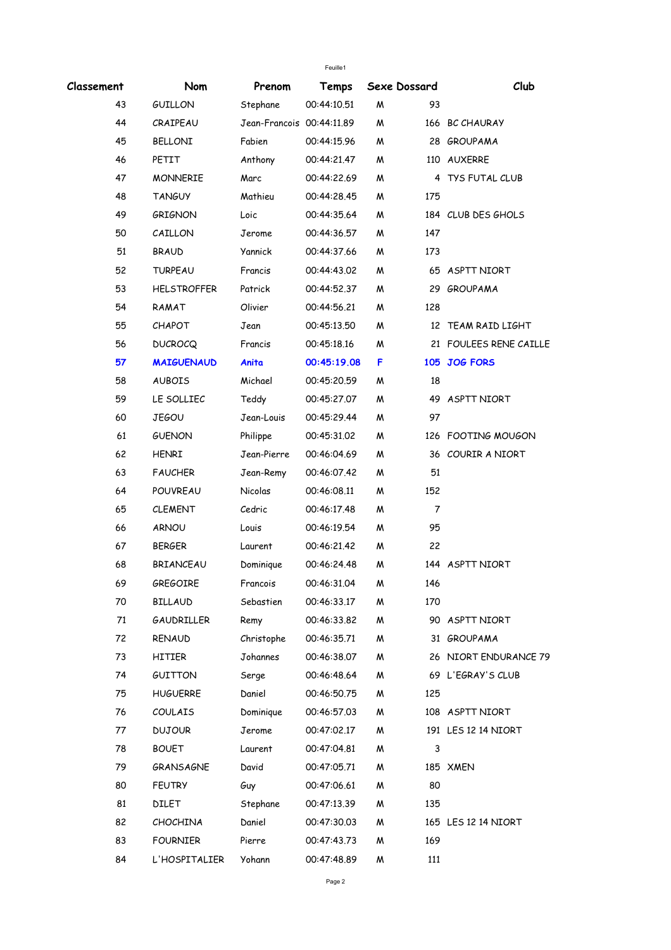| Classement | Nom                | Prenom                    | Temps       |   | Sexe Dossard | Club                   |
|------------|--------------------|---------------------------|-------------|---|--------------|------------------------|
| 43         | <b>GUILLON</b>     | Stephane                  | 00:44:10.51 | W | 93           |                        |
| 44         | CRAIPEAU           | Jean-Francois 00:44:11.89 |             | W |              | 166 BC CHAURAY         |
| 45         | <b>BELLONI</b>     | Fabien                    | 00:44:15.96 | W |              | 28 GROUPAMA            |
| 46         | PETIT              | Anthony                   | 00:44:21.47 | W |              | 110 AUXERRE            |
| 47         | <b>MONNERIE</b>    | Marc                      | 00:44:22.69 | W |              | 4 TYS FUTAL CLUB       |
| 48         | <b>TANGUY</b>      | Mathieu                   | 00:44:28.45 | W | 175          |                        |
| 49         | <b>GRIGNON</b>     | Loic                      | 00:44:35.64 | M |              | 184 CLUB DES GHOLS     |
| 50         | CAILLON            | Jerome                    | 00:44:36.57 | W | 147          |                        |
| 51         | <b>BRAUD</b>       | Yannick                   | 00:44:37.66 | M | 173          |                        |
| 52         | <b>TURPEAU</b>     | Francis                   | 00:44:43.02 | M |              | 65 ASPTT NIORT         |
| 53         | <b>HELSTROFFER</b> | Patrick                   | 00:44:52.37 | M |              | 29 GROUPAMA            |
| 54         | RAMAT              | Olivier                   | 00:44:56.21 | W | 128          |                        |
| 55         | <b>CHAPOT</b>      | Jean                      | 00:45:13.50 | W |              | 12 TEAM RAID LIGHT     |
| 56         | <b>DUCROCQ</b>     | Francis                   | 00:45:18.16 | M |              | 21 FOULEES RENE CAILLE |
| 57         | <b>MAIGUENAUD</b>  | Anita                     | 00:45:19.08 | F |              | 105 JOG FORS           |
| 58         | <b>AUBOIS</b>      | Michael                   | 00:45:20.59 | W | 18           |                        |
| 59         | LE SOLLIEC         | Teddy                     | 00:45:27.07 | W |              | 49 ASPTT NIORT         |
| 60         | <b>JEGOU</b>       | Jean-Louis                | 00:45:29.44 | M | 97           |                        |
| 61         | <b>GUENON</b>      | Philippe                  | 00:45:31.02 | W |              | 126 FOOTING MOUGON     |
| 62         | <b>HENRI</b>       | Jean-Pierre               | 00:46:04.69 | W |              | 36 COURIR A NIORT      |
| 63         | <b>FAUCHER</b>     | Jean-Remy                 | 00:46:07.42 | M | 51           |                        |
| 64         | POUVREAU           | <b>Nicolas</b>            | 00:46:08.11 | W | 152          |                        |
| 65         | <b>CLEMENT</b>     | Cedric                    | 00:46:17.48 | W | 7            |                        |
| 66         | <b>ARNOU</b>       | Louis                     | 00:46:19.54 | W | 95           |                        |
| 67         | <b>BERGER</b>      | Laurent                   | 00:46:21.42 | W | 22           |                        |
| 68         | <b>BRIANCEAU</b>   | Dominique                 | 00:46:24.48 | M |              | 144 ASPTT NIORT        |
| 69         | GREGOIRE           | Francois                  | 00:46:31.04 | M | 146          |                        |
| 70         | <b>BILLAUD</b>     | Sebastien                 | 00:46:33.17 | M | 170          |                        |
| 71         | GAUDRILLER         | Remy                      | 00:46:33.82 | M |              | 90 ASPTT NIORT         |
| 72         | RENAUD             | Christophe                | 00:46:35.71 | M |              | 31 GROUPAMA            |
| 73         | HITIER             | Johannes                  | 00:46:38.07 | M |              | 26 NIORT ENDURANCE 79  |
| 74         | GUITTON            | Serge                     | 00:46:48.64 | M |              | 69 L'EGRAY'S CLUB      |
| 75         | <b>HUGUERRE</b>    | Daniel                    | 00:46:50.75 | M | 125          |                        |
| 76         | <b>COULAIS</b>     | Dominique                 | 00:46:57.03 | M |              | 108 ASPTT NIORT        |
| 77         | <b>DUJOUR</b>      | Jerome                    | 00:47:02.17 | M |              | 191 LES 12 14 NIORT    |
| 78         | <b>BOUET</b>       | Laurent                   | 00:47:04.81 | M | 3            |                        |
| 79         | <b>GRANSAGNE</b>   | David                     | 00:47:05.71 | M |              | 185 XMEN               |
| 80         | <b>FEUTRY</b>      | Guy                       | 00:47:06.61 | M | 80           |                        |
| 81         | DILET              | Stephane                  | 00:47:13.39 | M | 135          |                        |
| 82         | <b>CHOCHINA</b>    | Daniel                    | 00:47:30.03 | M |              | 165 LES 12 14 NIORT    |
| 83         | <b>FOURNIER</b>    | Pierre                    | 00:47:43.73 | M | 169          |                        |
| 84         | L'HOSPITALIER      | Yohann                    | 00:47:48.89 | M | 111          |                        |
|            |                    |                           |             |   |              |                        |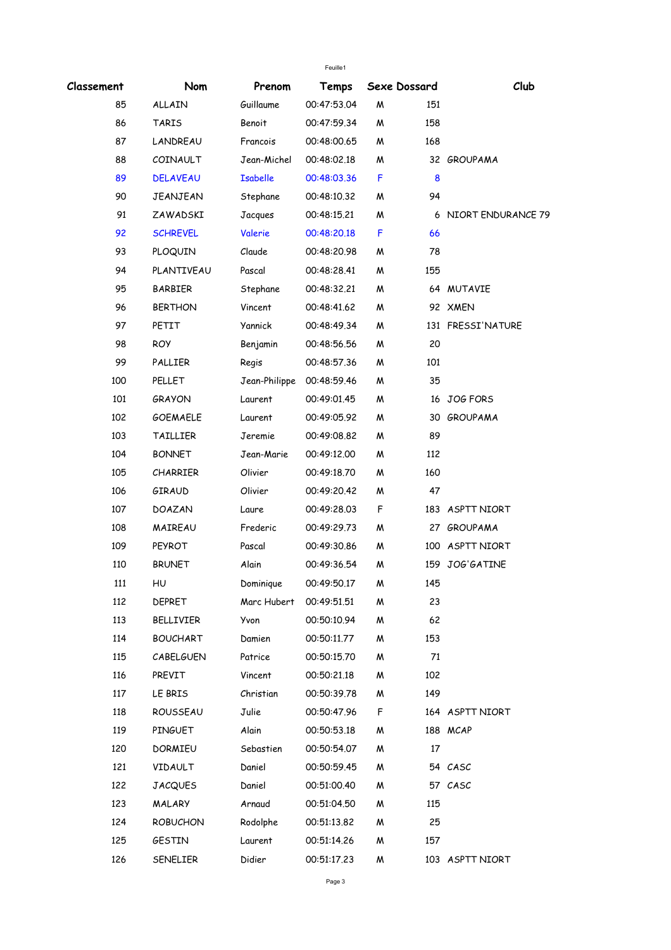| Feuille1   |                 |                         |             |    |              |                      |  |
|------------|-----------------|-------------------------|-------------|----|--------------|----------------------|--|
| Classement | Nom             | Prenom                  | Temps       |    | Sexe Dossard | Club                 |  |
| 85         | ALLAIN          | Guillaume               | 00:47:53.04 | W  | 151          |                      |  |
| 86         | <b>TARIS</b>    | Benoit                  | 00:47:59.34 | M  | 158          |                      |  |
| 87         | LANDREAU        | Francois                | 00:48:00.65 | M  | 168          |                      |  |
| 88         | COINAULT        | Jean-Michel             | 00:48:02.18 | W  |              | 32 GROUPAMA          |  |
| 89         | <b>DELAVEAU</b> | <b>Isabelle</b>         | 00:48:03.36 | F  | 8            |                      |  |
| 90         | <b>JEANJEAN</b> | Stephane                | 00:48:10.32 | W  | 94           |                      |  |
| 91         | ZAWADSKI        | Jacques                 | 00:48:15.21 | M  |              | 6 NIORT ENDURANCE 79 |  |
| 92         | <b>SCHREVEL</b> | Valerie                 | 00:48:20.18 | F  | 66           |                      |  |
| 93         | PLOQUIN         | Claude                  | 00:48:20.98 | W  | 78           |                      |  |
| 94         | PLANTIVEAU      | Pascal                  | 00:48:28.41 | M  | 155          |                      |  |
| 95         | <b>BARBIER</b>  | Stephane                | 00:48:32.21 | W  |              | 64 MUTAVIE           |  |
| 96         | <b>BERTHON</b>  | Vincent                 | 00:48:41.62 | M  |              | 92 XMEN              |  |
| 97         | PETIT           | <b>Yannick</b>          | 00:48:49.34 | W  |              | 131 FRESSI'NATURE    |  |
| 98         | <b>ROY</b>      | Benjamin                | 00:48:56.56 | W  | 20           |                      |  |
| 99         | PALLIER         | Regis                   | 00:48:57.36 | W  | 101          |                      |  |
| 100        | PELLET          | Jean-Philippe           | 00:48:59.46 | W  | 35           |                      |  |
| 101        | <b>GRAYON</b>   | Laurent                 | 00:49:01.45 | W  |              | 16 JOG FORS          |  |
| 102        | <b>GOEMAELE</b> | Laurent                 | 00:49:05.92 | M  |              | 30 GROUPAMA          |  |
| 103        | TAILLIER        | Jeremie                 | 00:49:08.82 | W  | 89           |                      |  |
| 104        | <b>BONNET</b>   | Jean-Marie              | 00:49:12.00 | W  | 112          |                      |  |
| 105        | <b>CHARRIER</b> | Olivier                 | 00:49:18.70 | M  | 160          |                      |  |
| 106        | GIRAUD          | Olivier                 | 00:49:20.42 | W  | 47           |                      |  |
| 107        | DOAZAN          | Laure                   | 00:49:28.03 | F  |              | 183 ASPTT NIORT      |  |
| 108        | MAIREAU         | Frederic                | 00:49:29.73 | W  |              | 27 GROUPAMA          |  |
| 109        | <b>PEYROT</b>   | Pascal                  | 00:49:30.86 | W  |              | 100 ASPTT NIORT      |  |
| 110        | <b>BRUNET</b>   | Alain                   | 00:49:36.54 | M  |              | 159 JOG'GATINE       |  |
| 111        | HU              | Dominique               | 00:49:50.17 | M  | 145          |                      |  |
| 112        | DEPRET          | Marc Hubert 00:49:51.51 |             | M  | 23           |                      |  |
| 113        | BELLIVIER       | Yvon                    | 00:50:10.94 | M  | 62           |                      |  |
| 114        | <b>BOUCHART</b> | Damien                  | 00:50:11.77 | M  | 153          |                      |  |
| 115        | CABELGUEN       | Patrice                 | 00:50:15.70 | M  | 71           |                      |  |
| 116        | PREVIT          | Vincent                 | 00:50:21.18 | M  | 102          |                      |  |
| 117        | LE BRIS         | Christian               | 00:50:39.78 | M  | 149          |                      |  |
| 118        | ROUSSEAU        | Julie                   | 00:50:47.96 | F. |              | 164 ASPTT NIORT      |  |
| 119        | <b>PINGUET</b>  | Alain                   | 00:50:53.18 | M  |              | 188 MCAP             |  |
| 120        | DORMIEU         | Sebastien               | 00:50:54.07 | M  | 17           |                      |  |
| 121        | VIDAULT         | Daniel                  | 00:50:59.45 | M  |              | 54 CASC              |  |
| 122        | <b>JACQUES</b>  | Daniel                  | 00:51:00.40 | M  |              | 57 CASC              |  |
| 123        | MALARY          | Arnaud                  | 00:51:04.50 | M  | 115          |                      |  |
| 124        | <b>ROBUCHON</b> | Rodolphe                | 00:51:13.82 | M  | 25           |                      |  |
| 125        | GESTIN          | Laurent                 | 00:51:14.26 | M  | 157          |                      |  |
| 126        | SENELIER        | Didier                  | 00:51:17.23 | M  |              | 103 ASPTT NIORT      |  |
|            |                 |                         |             |    |              |                      |  |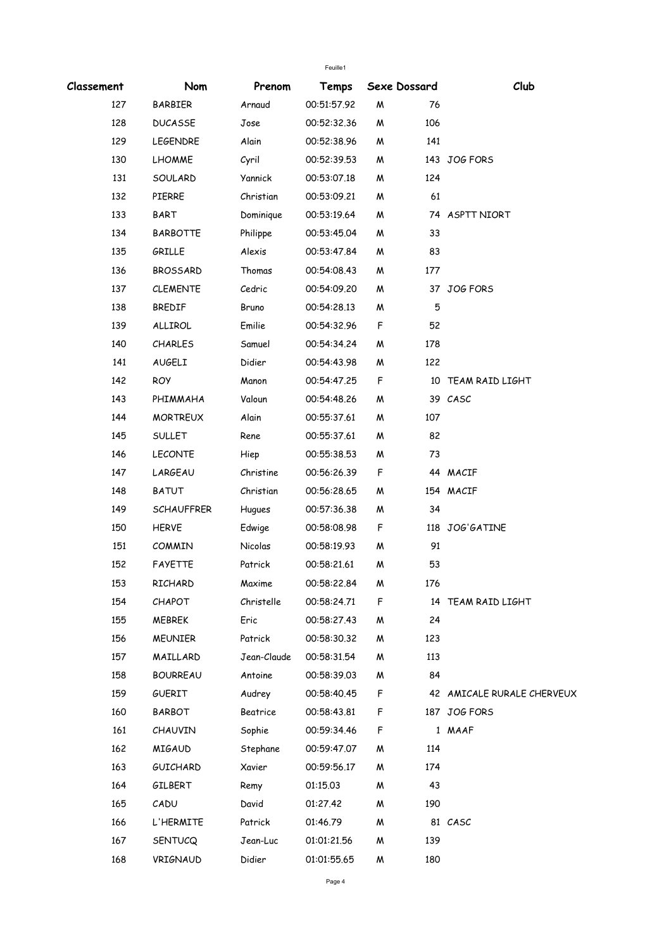|            |                   |             | Feuille1    |              |     |                            |
|------------|-------------------|-------------|-------------|--------------|-----|----------------------------|
| Classement | Nom               | Prenom      | Temps       | Sexe Dossard |     | Club                       |
| 127        | <b>BARBIER</b>    | Arnaud      | 00:51:57.92 | W            | 76  |                            |
| 128        | <b>DUCASSE</b>    | Jose        | 00:52:32.36 | W            | 106 |                            |
| 129        | <b>LEGENDRE</b>   | Alain       | 00:52:38.96 | Μ            | 141 |                            |
| 130        | <b>LHOMME</b>     | Cyril       | 00:52:39.53 | W            |     | 143 JOG FORS               |
| 131        | SOULARD           | Yannick     | 00:53:07.18 | M            | 124 |                            |
| 132        | PIERRE            | Christian   | 00:53:09.21 | W            | 61  |                            |
| 133        | BART              | Dominique   | 00:53:19.64 | W            |     | 74 ASPTT NIORT             |
| 134        | <b>BARBOTTE</b>   | Philippe    | 00:53:45.04 | W            | 33  |                            |
| 135        | GRILLE            | Alexis      | 00:53:47.84 | W            | 83  |                            |
| 136        | <b>BROSSARD</b>   | Thomas      | 00:54:08.43 | Μ            | 177 |                            |
| 137        | <b>CLEMENTE</b>   | Cedric      | 00:54:09.20 | W            |     | 37 JOG FORS                |
| 138        | <b>BREDIF</b>     | Bruno       | 00:54:28.13 | W            | 5   |                            |
| 139        | ALLIROL           | Emilie      | 00:54:32.96 | F            | 52  |                            |
| 140        | <b>CHARLES</b>    | Samuel      | 00:54:34.24 | W            | 178 |                            |
| 141        | <b>AUGELI</b>     | Didier      | 00:54:43.98 | W            | 122 |                            |
| 142        | <b>ROY</b>        | Manon       | 00:54:47.25 | F            |     | 10 TEAM RAID LIGHT         |
| 143        | PHIMMAHA          | Valoun      | 00:54:48.26 | M            |     | 39 CASC                    |
| 144        | <b>MORTREUX</b>   | Alain       | 00:55:37.61 | W            | 107 |                            |
| 145        | <b>SULLET</b>     | Rene        | 00:55:37.61 | W            | 82  |                            |
| 146        | <b>LECONTE</b>    | Hiep        | 00:55:38.53 | W            | 73  |                            |
| 147        | LARGEAU           | Christine   | 00:56:26.39 | F            |     | 44 MACIF                   |
| 148        | <b>BATUT</b>      | Christian   | 00:56:28.65 | W            |     | 154 MACIF                  |
| 149        | <b>SCHAUFFRER</b> | Hugues      | 00:57:36.38 | M            | 34  |                            |
| 150        | <b>HERVE</b>      | Edwige      | 00:58:08.98 | F            |     | 118 JOG'GATINE             |
| 151        | <b>COMMIN</b>     | Nicolas     | 00:58:19.93 | W            | 91  |                            |
| 152        | FAYETTE           | Patrick     | 00:58:21.61 | M            | 53  |                            |
| 153        | RICHARD           | Maxime      | 00:58:22.84 | M            | 176 |                            |
| 154        | CHAPOT            | Christelle  | 00:58:24.71 | F            |     | 14 TEAM RAID LIGHT         |
| 155        | <b>MEBREK</b>     | Eric        | 00:58:27.43 | M            | 24  |                            |
| 156        | <b>MEUNIER</b>    | Patrick     | 00:58:30.32 | M            | 123 |                            |
| 157        | MAILLARD          | Jean-Claude | 00:58:31.54 | W            | 113 |                            |
| 158        | <b>BOURREAU</b>   | Antoine     | 00:58:39.03 | M            | 84  |                            |
| 159        | <b>GUERIT</b>     | Audrey      | 00:58:40.45 | F            |     | 42 AMICALE RURALE CHERVEUX |
| 160        | BARBOT            | Beatrice    | 00:58:43.81 | F            |     | 187 JOG FORS               |
| 161        | <b>CHAUVIN</b>    | Sophie      | 00:59:34.46 | F            |     | 1 MAAF                     |
| 162        | MIGAUD            | Stephane    | 00:59:47.07 | M            | 114 |                            |
| 163        | <b>GUICHARD</b>   | Xavier      | 00:59:56.17 | M            | 174 |                            |
| 164        | GILBERT           | Remy        | 01:15.03    | Μ            | 43  |                            |
| 165        | CADU              | David       | 01:27.42    | M            | 190 |                            |
| 166        | L'HERMITE         | Patrick     | 01:46.79    | M            |     | 81 CASC                    |
| 167        | SENTUCQ           | Jean-Luc    | 01:01:21.56 | M            | 139 |                            |
| 168        | VRIGNAUD          | Didier      | 01:01:55.65 | Μ            | 180 |                            |
|            |                   |             |             |              |     |                            |